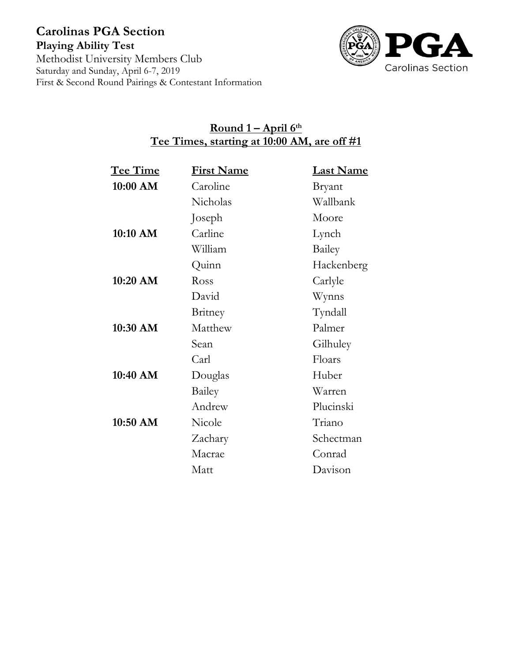

# **Round 1 – April 6th Tee Times, starting at 10:00 AM, are off #1**

| Tee Time | <b>First Name</b> | <b>Last Name</b> |
|----------|-------------------|------------------|
| 10:00 AM | Caroline          | Bryant           |
|          | Nicholas          | Wallbank         |
|          | Joseph            | Moore            |
| 10:10 AM | Carline           | Lynch            |
|          | William           | Bailey           |
|          | Quinn             | Hackenberg       |
| 10:20 AM | Ross              | Carlyle          |
|          | David             | Wynns            |
|          | Britney           | Tyndall          |
| 10:30 AM | Matthew           | Palmer           |
|          | Sean              | Gilhuley         |
|          | Carl              | Floars           |
| 10:40 AM | Douglas           | Huber            |
|          | Bailey            | Warren           |
|          | Andrew            | Plucinski        |
| 10:50 AM | Nicole            | Triano           |
|          | Zachary           | Schectman        |
|          | Macrae            | Conrad           |
|          | Matt              | Davison          |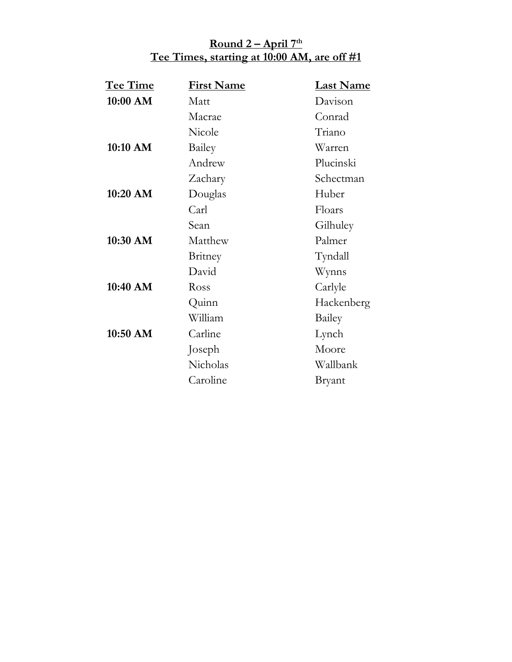## **Round 2 – April 7 th Tee Times, starting at 10:00 AM, are off #1**

| Tee Time | <b>First Name</b> | <b>Last Name</b> |
|----------|-------------------|------------------|
| 10:00 AM | Matt              | Davison          |
|          | Macrae            | Conrad           |
|          | Nicole            | Triano           |
| 10:10 AM | Bailey            | Warren           |
|          | Andrew            | Plucinski        |
|          | Zachary           | Schectman        |
| 10:20 AM | Douglas           | Huber            |
|          | Carl              | Floars           |
|          | Sean              | Gilhuley         |
| 10:30 AM | Matthew           | Palmer           |
|          | Britney           | Tyndall          |
|          | David             | Wynns            |
| 10:40 AM | Ross              | Carlyle          |
|          | Quinn             | Hackenberg       |
|          | William           | Bailey           |
| 10:50 AM | Carline           | Lynch            |
|          | Joseph            | Moore            |
|          | Nicholas          | Wallbank         |
|          | Caroline          | Bryant           |